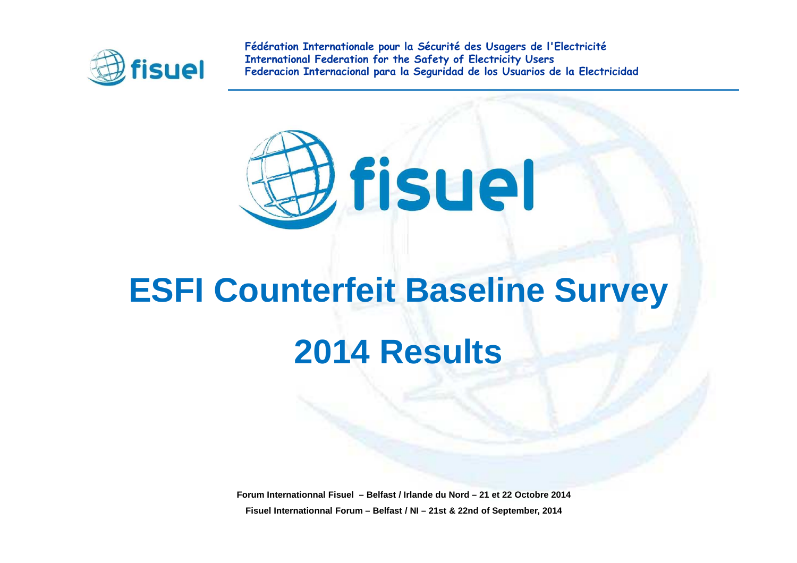



# **ESFI Counterfeit Baseline Survey 2014 Results**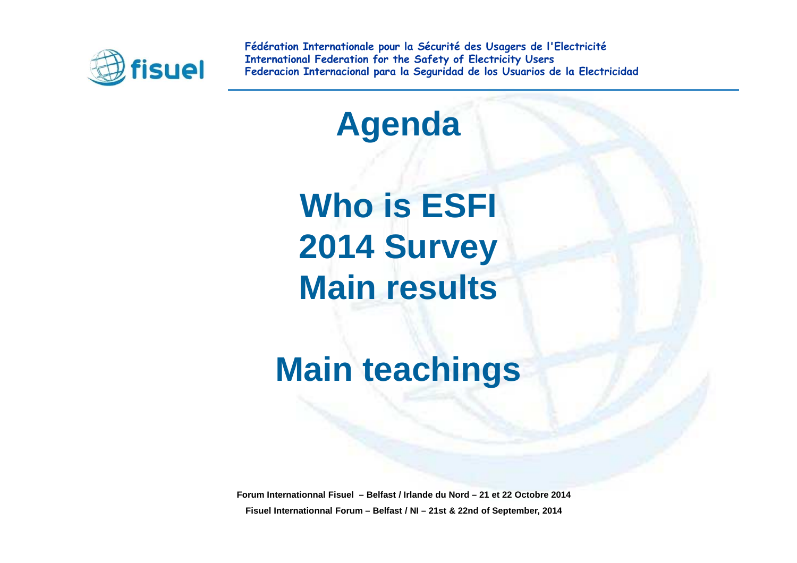

**Agenda**

**Who is ESFI2014 SurveyMain results**

**Main teachings**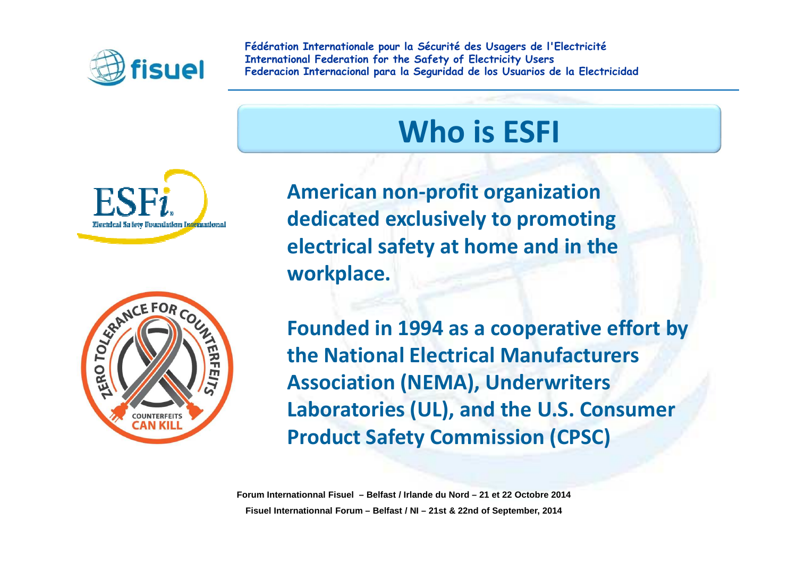

# **Who is ESFI**





**American non-profit organization dedicated exclusively to promoting electrical safety at home and in the workplace.**

**Founded in 1994 as a cooperative effort by the National Electrical Manufacturers Association (NEMA), Underwriters Laboratories (UL), and the U.S. Consumer Product Safety Commission (CPSC)**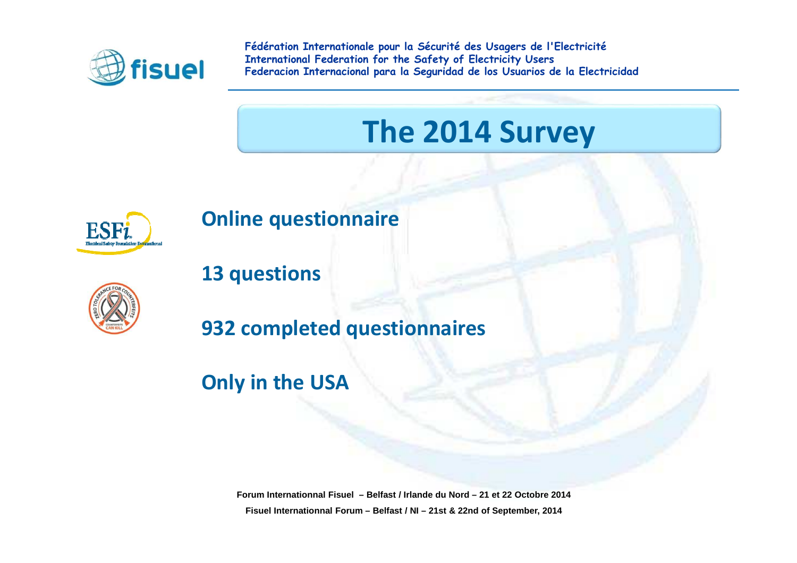

## **The 2014 Survey**



#### **Online questionnaire**



**13 questions** 

**932 completed questionnaires**

#### **Only in the USA**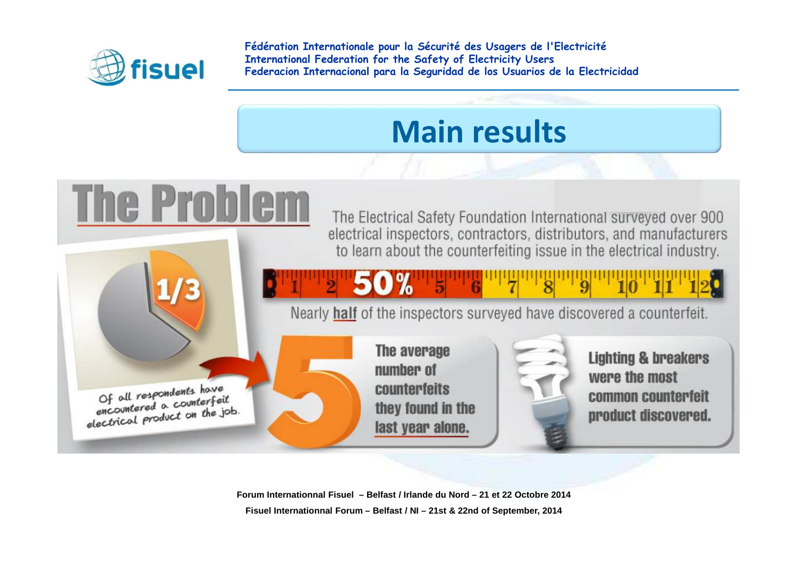

#### **Main results**

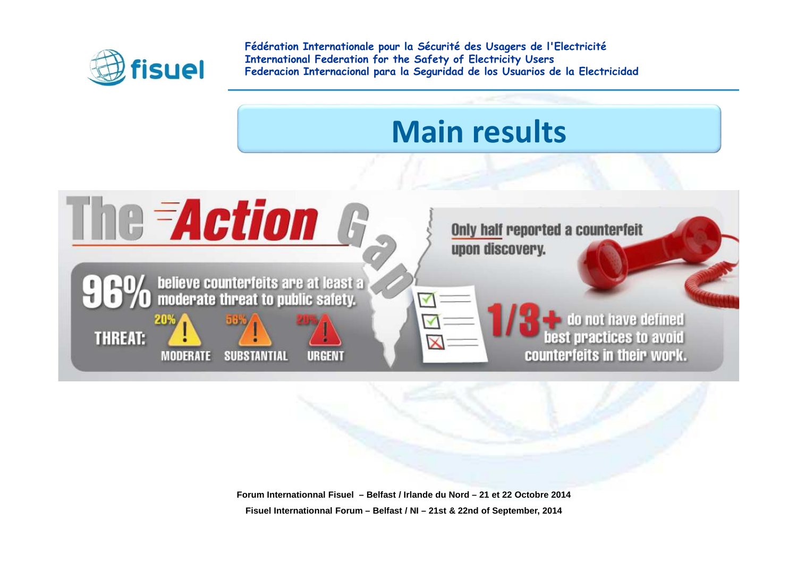

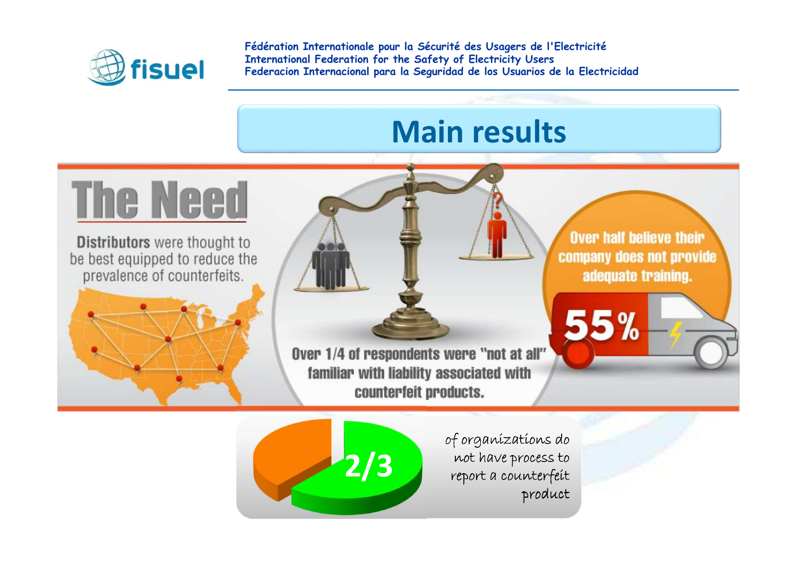

### **Main results**



**Forum Internationnal Fisuel – Belfast / Irlande du Nord – 21 et 22 Octobre 2014**product**Fisuel Internationnal Forum – Belfast / NI – 21st & 22nd of September, 2014**of organizations do not have process to report a counterfeit **2/3**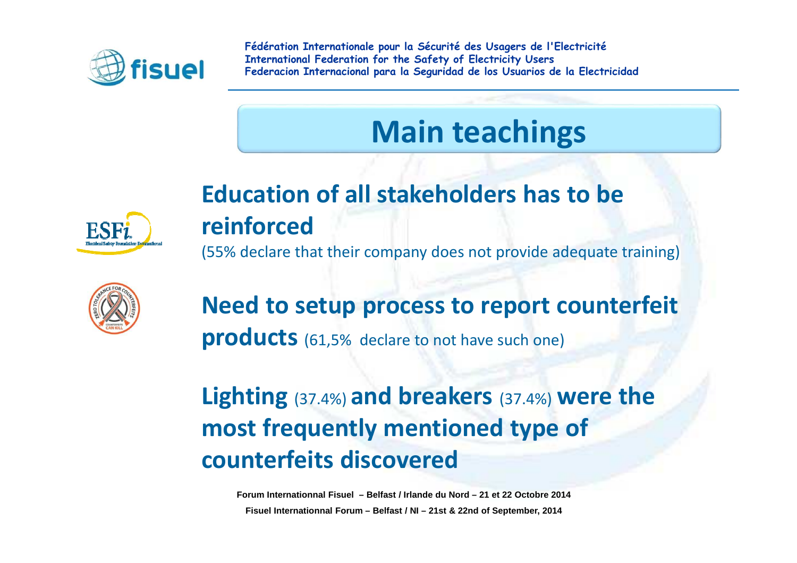

## **Main teachings**

#### **Education of all stakeholders has to be reinforced**

(55% declare that their company does not provide adequate training)



#### **Need to setup process to report counterfeit products** (61,5% declare to not have such one)

#### **Lighting** (37.4%) **and breakers** (37.4%) **were the most frequently mentioned type of counterfeits discovered**